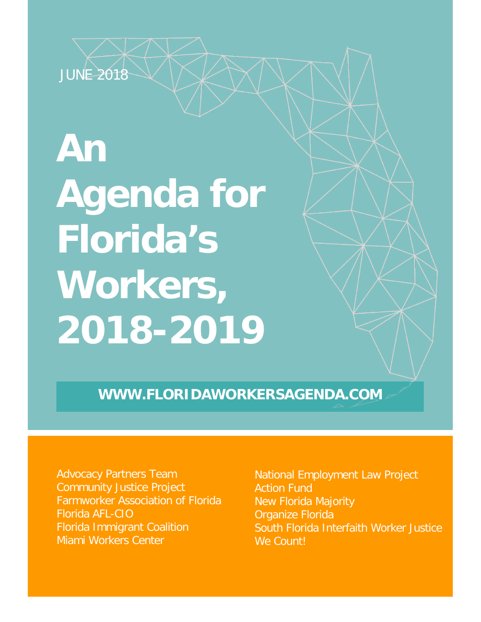

# **An Agenda for Florida's Workers, 2018-2019**

**WWW.FLORIDAWORKERSAGENDA.COM**

Advocacy Partners Team Community Justice Project Farmworker Association of Florida Florida AFL-CIO Florida Immigrant Coalition Miami Workers Center

National Employment Law Project **Action Fund** New Florida Majority Organize Florida South Florida Interfaith Worker Justice We Count!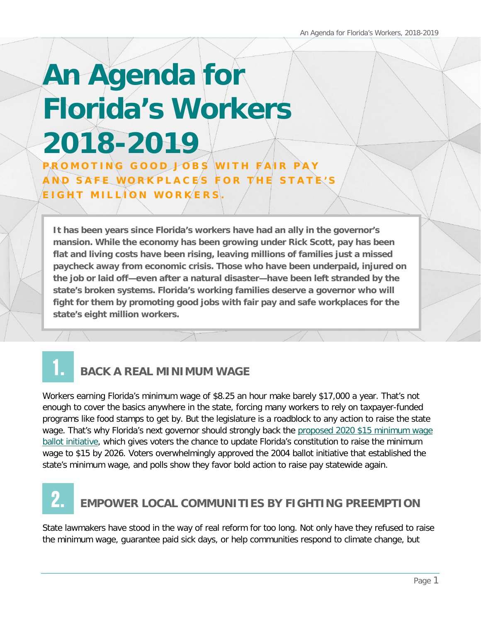## **An Agenda for Florida's Workers 2018-2019** PROMOTING GOOD JOBS WITH FAIR PAY AND SAFE WORKPLACES FOR THE STATE'S

EIGHT MILLION WORKERS.

**It has been years since Florida's workers have had an ally in the governor's mansion. While the economy has been growing under Rick Scott, pay has been flat and living costs have been rising, leaving millions of families just a missed paycheck away from economic crisis. Those who have been underpaid, injured on the job or laid off—even after a natural disaster—have been left stranded by the state's broken systems. Florida's working families deserve a governor who will fight for them by promoting good jobs with fair pay and safe workplaces for the state's eight million workers.**

#### **BACK A REAL MINIMUM WAGE** 1.

Workers earning Florida's minimum wage of \$8.25 an hour make barely \$17,000 a year. That's not enough to cover the basics anywhere in the state, forcing many workers to rely on taxpayer-funded programs like food stamps to get by. But the legislature is a roadblock to any action to raise the state wage. That's why Florida's next governor should strongly back the [proposed 2020 \\$15 minimum wage](https://ballotpedia.org/Florida_$15_Minimum_Wage_Initiative_(2020))  [ballot initiative,](https://ballotpedia.org/Florida_$15_Minimum_Wage_Initiative_(2020)) which gives voters the chance to update Florida's constitution to raise the minimum wage to \$15 by 2026. Voters overwhelmingly approved the 2004 ballot initiative that established the state's minimum wage, and polls show they favor bold action to raise pay statewide again.

### **EMPOWER LOCAL COMMUNITIES BY FIGHTING PREEMPTION** 2.

State lawmakers have stood in the way of real reform for too long. Not only have they refused to raise the minimum wage, guarantee paid sick days, or help communities respond to climate change, but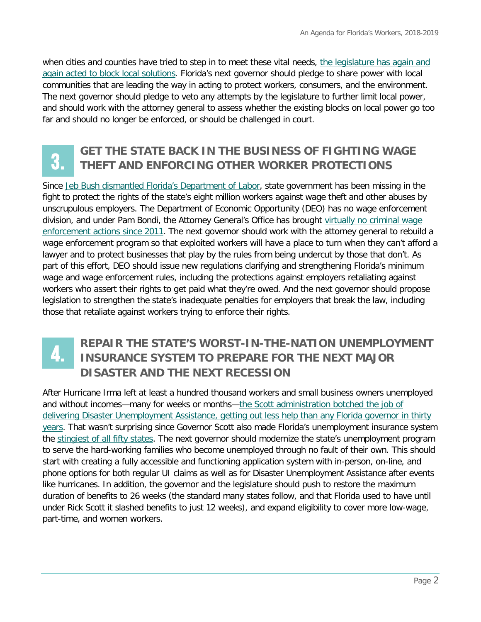when cities and counties have tried to step in to meet these vital needs, the legislature has again and [again acted to block local solutions.](http://www.sun-sentinel.com/opinion/fl-op-column-fred-grimm-florida-vacation-rental-laws-20180104-story.html) Florida's next governor should pledge to share power with local communities that are leading the way in acting to protect workers, consumers, and the environment. The next governor should pledge to veto any attempts by the legislature to further limit local power, and should work with the attorney general to assess whether the existing blocks on local power go too far and should no longer be enforced, or should be challenged in court.

## 3.

### **GET THE STATE BACK IN THE BUSINESS OF FIGHTING WAGE THEFT AND ENFORCING OTHER WORKER PROTECTIONS**

Since [Jeb Bush dismantled Florida's Department of Labor,](http://inthesetimes.com/working/entry/18899/how_jeb_bush_dismantled_floridas_labor_department) state government has been missing in the fight to protect the rights of the state's eight million workers against wage theft and other abuses by unscrupulous employers. The Department of Economic Opportunity (DEO) has no wage enforcement division, and under Pam Bondi, the Attorney General's Office has brought virtually no criminal wage [enforcement actions since 2011.](https://www.thenation.com/article/florida-has-not-held-an-employer-responsible-for-violating-the-minimum-wage-since-2011/) The next governor should work with the attorney general to rebuild a wage enforcement program so that exploited workers will have a place to turn when they can't afford a lawyer and to protect businesses that play by the rules from being undercut by those that don't. As part of this effort, DEO should issue new regulations clarifying and strengthening Florida's minimum wage and wage enforcement rules, including the protections against employers retaliating against workers who assert their rights to get paid what they're owed. And the next governor should propose legislation to strengthen the state's inadequate penalties for employers that break the law, including those that retaliate against workers trying to enforce their rights.

#### **REPAIR THE STATE'S WORST-IN-THE-NATION UNEMPLOYMENT INSURANCE SYSTEM TO PREPARE FOR THE NEXT MAJOR DISASTER AND THE NEXT RECESSION** 4.

After Hurricane Irma left at least a hundred thousand workers and small business owners unemployed and without incomes—many for weeks or months—the [Scott administration botched the job of](http://nelpaction.org/rick-scotts-record-helping-jobless-workers-small-business-owners-hurricane-irma-worst-florida-governor-thirty-years/)  [delivering Disaster Unemployment Assistance, getting out](http://nelpaction.org/rick-scotts-record-helping-jobless-workers-small-business-owners-hurricane-irma-worst-florida-governor-thirty-years/) less help than any Florida governor in thirty [years.](http://nelpaction.org/rick-scotts-record-helping-jobless-workers-small-business-owners-hurricane-irma-worst-florida-governor-thirty-years/) That wasn't surprising since Governor Scott also made Florida's unemployment insurance system the [stingiest of all fifty states.](http://www.nelp.org/publication/aint-no-sunshine-florida-unemployment-insurance/) The next governor should modernize the state's unemployment program to serve the hard-working families who become unemployed through no fault of their own. This should start with creating a fully accessible and functioning application system with in-person, on-line, and phone options for both regular UI claims as well as for Disaster Unemployment Assistance after events like hurricanes. In addition, the governor and the legislature should push to restore the maximum duration of benefits to 26 weeks (the standard many states follow, and that Florida used to have until under Rick Scott it slashed benefits to just 12 weeks), and expand eligibility to cover more low-wage, part-time, and women workers.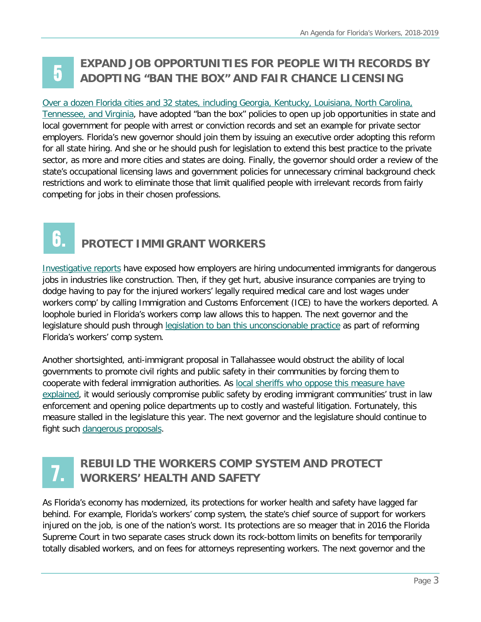#### **EXPAND JOB OPPORTUNITIES FOR PEOPLE WITH RECORDS BY ADOPTING "BAN THE BOX" AND FAIR CHANCE LICENSING** 5

#### [Over a dozen Florida cities and 32 states, including Georgia, Kentucky, Louisiana, North Carolina,](http://www.nelp.org/publication/ban-the-box-fair-chance-hiring-state-and-local-guide/)  Tennessee, [and Virginia,](http://www.nelp.org/publication/ban-the-box-fair-chance-hiring-state-and-local-guide/) have adopted "ban the box" policies to open up job opportunities in state and local government for people with arrest or conviction records and set an example for private sector employers. Florida's new governor should join them by issuing an executive order adopting this reform for all state hiring. And she or he should push for legislation to extend this best practice to the private sector, as more and more cities and states are doing. Finally, the governor should order a review of the state's occupational licensing laws and government policies for unnecessary criminal background check restrictions and work to eliminate those that limit qualified people with irrelevant records from fairly competing for jobs in their chosen professions.  $\frac{a}{b}$

# 6.

### **PROTECT IMMIGRANT WORKERS**

[Investigative reports](https://www.naplesnews.com/story/news/special-reports/2017/12/14/floridas-disposable-workers-companies-profit-immigrants-reported-after-work-injuries-workers-comp/863286001/) have exposed how employers are hiring undocumented immigrants for dangerous jobs in industries like construction. Then, if they get hurt, abusive insurance companies are trying to dodge having to pay for the injured workers' legally required medical care and lost wages under workers comp' by calling Immigration and Customs Enforcement (ICE) to have the workers deported. A loophole buried in Florida's workers comp law allows this to happen. The next governor and the legislature should push through [legislation to ban this unconscionable practice](https://www.propublica.org/article/florida-bill-seeks-to-stop-arrests-of-injured-immigrant-workers?utm_source=pardot&utm_medium=email&utm_campaign=dailynewsletter) as part of reforming Florida's workers' comp system.

Another shortsighted, anti-immigrant proposal in Tallahassee would obstruct the ability of local governments to promote civil rights and public safety in their communities by forcing them to cooperate with federal immigration authorities. As [local sheriffs who oppose this measure have](http://www.news-journalonline.com/opinion/20180211/michael-chitwood-sanctuary-cities-bill-would-threaten-public-safety)  [explained,](http://www.news-journalonline.com/opinion/20180211/michael-chitwood-sanctuary-cities-bill-would-threaten-public-safety) it would seriously compromise public safety by eroding immigrant communities' trust in law enforcement and opening police departments up to costly and wasteful litigation. Fortunately, this measure stalled in the legislature this year. The next governor and the legislature should continue to fight such [dangerous proposals.](https://www.flsenate.gov/Session/Bill/2018/00009/)

# 7.

### **REBUILD THE WORKERS COMP SYSTEM AND PROTECT WORKERS' HEALTH AND SAFETY**

As Florida's economy has modernized, its protections for worker health and safety have lagged far behind. For example, Florida's workers' comp system, the state's chief source of support for workers injured on the job, is one of the nation's worst. Its protections are so meager that in 2016 the Florida Supreme Court in two separate cases struck down its rock-bottom limits on benefits for temporarily totally disabled workers, and on fees for attorneys representing workers. The next governor and the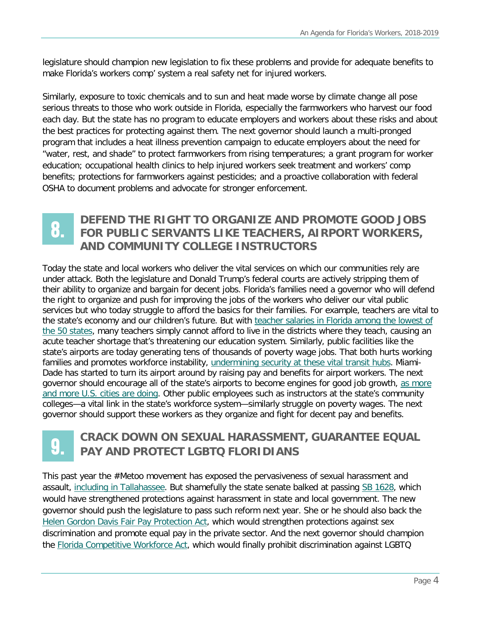legislature should champion new legislation to fix these problems and provide for adequate benefits to make Florida's workers comp' system a real safety net for injured workers.

Similarly, exposure to toxic chemicals and to sun and heat made worse by climate change all pose serious threats to those who work outside in Florida, especially the farmworkers who harvest our food each day. But the state has no program to educate employers and workers about these risks and about the best practices for protecting against them. The next governor should launch a multi-pronged program that includes a heat illness prevention campaign to educate employers about the need for "water, rest, and shade" to protect farmworkers from rising temperatures; a grant program for worker education; occupational health clinics to help injured workers seek treatment and workers' comp benefits; protections for farmworkers against pesticides; and a proactive collaboration with federal OSHA to document problems and advocate for stronger enforcement.

# 8.

#### **DEFEND THE RIGHT TO ORGANIZE AND PROMOTE GOOD JOBS FOR PUBLIC SERVANTS LIKE TEACHERS, AIRPORT WORKERS, AND COMMUNITY COLLEGE INSTRUCTORS**

Today the state and local workers who deliver the vital services on which our communities rely are under attack. Both the legislature and Donald Trump's federal courts are actively stripping them of their ability to organize and bargain for decent jobs. Florida's families need a governor who will defend the right to organize and push for improving the jobs of the workers who deliver our vital public services but who today struggle to afford the basics for their families. For example, teachers are vital to the state's economy and our children's future. But with [teacher salaries in Florida among the lowest](http://www.miamiherald.com/news/local/education/article175539846.html) of [the 50 states,](http://www.miamiherald.com/news/local/education/article175539846.html) many teachers simply cannot afford to live in the districts where they teach, causing an acute teacher shortage that's threatening our education system. Similarly, public facilities like the state's airports are today generating tens of thousands of poverty wage jobs. That both hurts working families and promotes workforce instability, [undermining security at these vital transit hubs.](http://laborcenter.berkeley.edu/the-impact-of-wages-and-turnover-on-security-and-safety-in-airports/) Miami-Dade has started to turn its airport around by raising pay and benefits for airport workers. The next governor should encourage all of the state's airports to become engines for good job growth, [as more](http://www.newsweek.com/its-simple-make-air-travel-safer-pay-airport-workers-more-760717)  [and more U.S. cities are doing.](http://www.newsweek.com/its-simple-make-air-travel-safer-pay-airport-workers-more-760717) Other public employees such as instructors at the state's community colleges—a vital link in the state's workforce system—similarly struggle on poverty wages. The next governor should support these workers as they organize and fight for decent pay and benefits.

# 9.

### **CRACK DOWN ON SEXUAL HARASSMENT, GUARANTEE EQUAL PAY AND PROTECT LGBTQ FLORIDIANS**

This past year the #Metoo movement has exposed the pervasiveness of sexual harassment and assault, [including in Tallahassee.](https://www.news-press.com/story/opinion/2018/03/09/inexcusable-florida-legislature-ignores-sexual-harassment/410253002/) But shamefully the state senate balked at passing [SB 1628,](https://www.flsenate.gov/Session/Bill/2018/01628) which would have strengthened protections against harassment in state and local government. The new governor should push the legislature to pass such reform next year. She or he should also back the [Helen Gordon Davis Fair Pay Protection Act,](https://www.flsenate.gov/Session/Bill/2017/319/ByVersion) which would strengthen protections against sex discrimination and promote equal pay in the private sector. And the next governor should champion the [Florida Competitive Workforce Act,](https://www.flsenate.gov/Session/Bill/2018/00066) which would finally prohibit discrimination against LGBTQ